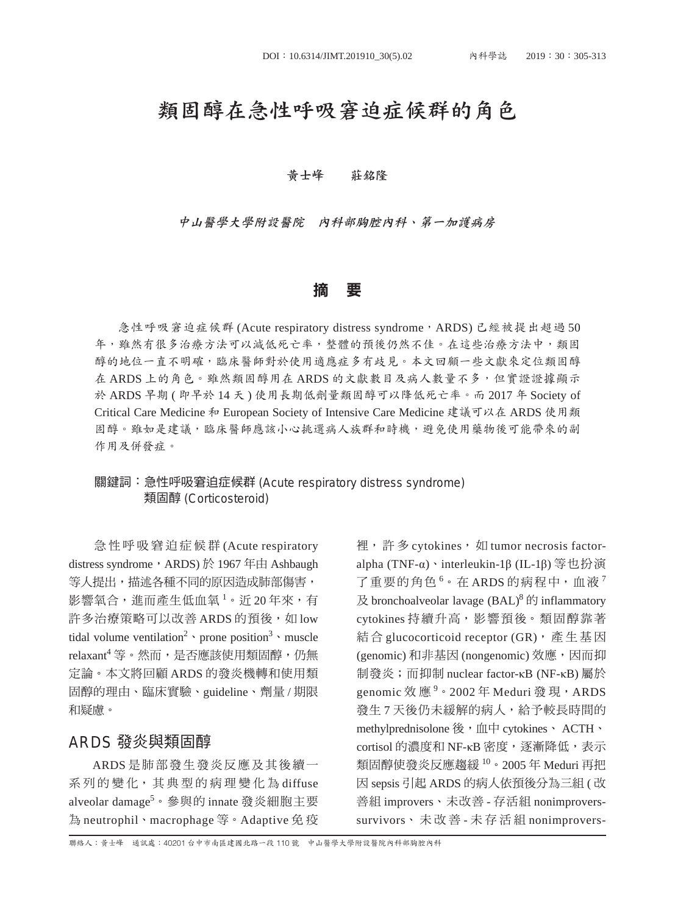## 類固醇在急性呼吸窘迫症候群的角色

#### 黃士峰 莊銘隆

中山醫學大學附設醫院 內科部胸腔內科、第一加護病房

#### 摘 要

急性呼吸窘迫症候群 (Acute respiratory distress syndrome, ARDS) 已經被提出超過 50 年,雖然有很多治療方法可以減低死亡率,整體的預後仍然不佳。在這些治療方法中,類固 醇的地位一直不明確,臨床醫師對於使用適應症多有歧見。本文回顧一些文獻來定位類固醇 在 ARDS 上的角色。雖然類固醇用在 ARDS 的文獻數目及病人數量不多,但實證證據顯示 於 ARDS 早期 ( 即早於 14 天 ) 使用長期低劑量類固醇可以降低死亡率。而 2017 年 Society of Critical Care Medicine 和 European Society of Intensive Care Medicine 建議可以在 ARDS 使用類 固醇。雖如是建議,臨床醫師應該小心挑選病人族群和時機,避免使用藥物後可能帶來的副 作用及併發症。

#### 關鍵詞:急性呼吸窘迫症候群 (Acute respiratory distress syndrome) 類固醇 (Corticosteroid)

急 性 呼 吸 窘 迫 症 候 群 (Acute respiratory distress syndrome, ARDS)於 1967年由 Ashbaugh 等人提出,描述各種不同的原因造成肺部傷害, 影響氧合,進而產生低血氧 $^1\cdot$  近 20 年來,有 許多治療策略可以改善 ARDS 的預後, 如 low tidal volume ventilation<sup>2</sup>  $\cdot$  prone position<sup>3</sup>  $\cdot$  muscle  $relaxant^4$ 等。然而,是否應該使用類固醇,仍無 定論。本文將回顧 ARDS 的發炎機轉和使用類 固醇的理由、臨床實驗、guideline、劑量 / 期限 和疑慮。

### ARDS 發炎與類固醇

ARDS 是肺部發生發炎反應及其後續一 系 列 的 變 化, 其 典 型 的 病 理 變 化 為 diffuse alveolar damage<sup>5。</sup>參與的 innate 發炎細胞主要 為 neutrophil、macrophage 等。Adaptive 免 疫

裡, 許多 cytokines, 如 tumor necrosis factoralpha (TNF-α)、interleukin-1β (IL-1β) 等也扮演 了重要的角色 $^6$ 。在 ARDS 的病程中,血液<sup>7</sup>  $\&$  bronchoalveolar lavage (BAL)<sup>8</sup>  $\&$  inflammatory cytokines 持續升高,影響預後。類固醇靠著 結 合 glucocorticoid receptor (GR), 產 生 基 因 (genomic)和非基因 (nongenomic) 效應,因而抑 制發炎;而抑制 nuclear factor-κB (NF-κB) 屬於 genomic 效 應 <sup>9</sup> 。 2002 年 Meduri 發 現,ARDS 發生7天後仍未緩解的病人,給予較長時間的 methylprednisolone 後,血中 cytokines、 ACTH、 cortisol 的濃度和 NF-KB 密度,逐漸降低,表示 類固醇使發炎反應趨緩 10。2005年 Meduri 再把 因 sepsis 引起 ARDS 的病人依預後分為三組 ( 改 善組 improvers、未改善 - 存活組 nonimproverssurvivors、 未 改 善 - 未 存 活 組 nonimprovers-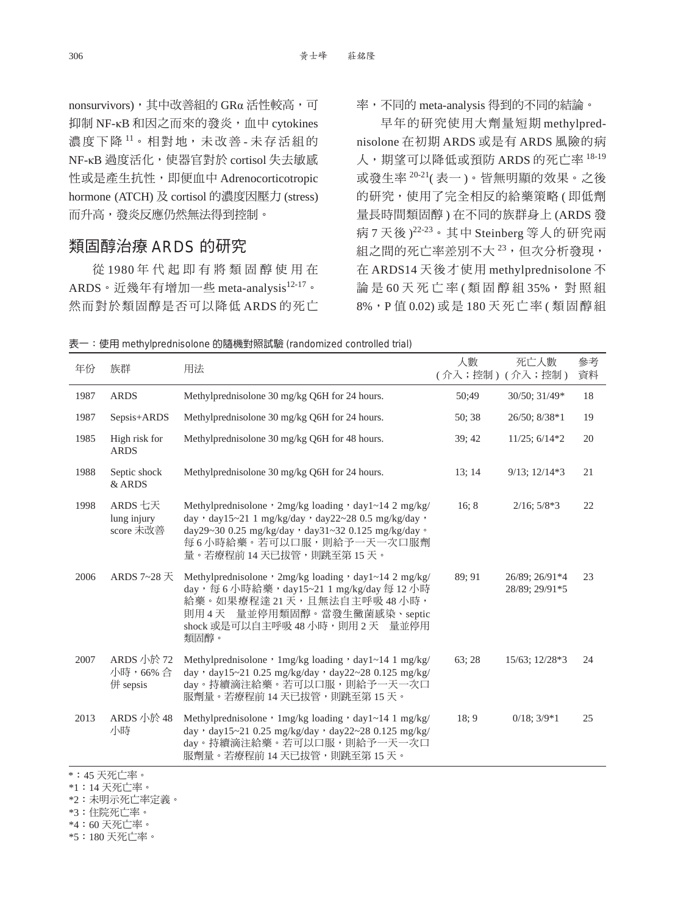nonsurvivors), 其中改善組的 GRα 活性較高, 可 抑制 NF-κB 和因之而來的發炎,血中 cytokines 濃度下降11。相對地,未改善-未存活組的 NF-κB 過度活化,使器官對於 cortisol 失去敏感 性或是產生抗性,即便血中 Adrenocorticotropic hormone (ATCH) 及 cortisol 的濃度因壓力 (stress) 而升高,發炎反應仍然無法得到控制。

## 類固醇治療 ARDS 的研究

從 1980 年 代 起 即 有 將 類 固 醇 使 用 在 ARDS。近幾年有增加一些 meta-analysis<sup>12-17</sup>。 然而對於類固醇是否可以降低 ARDS 的死亡 率,不同的 meta-analysis 得到的不同的結論。

早年的研究使用大劑量短期 methylprednisolone 在初期 ARDS 或是有 ARDS 風險的病 人, 期望可以降低或預防 ARDS 的死亡率 18-19 或發生率 20-21( 表一 )。皆無明顯的效果。之後 的研究,使用了完全相反的給藥策略(即低劑 量長時間類固醇 ) 在不同的族群身上 (ARDS 發 病 7 天後 )<sup>22-23</sup>。其中 Steinberg 等人的研究兩 組之間的死亡率差別不大23,但次分析發現, 在 ARDS14 天後才使用 methylprednisolone 不 論是60天死亡率(類固醇組35%,對照組 8%,P 值 0.02) 或 是 180 天 死 亡 率 ( 類 固 醇 組

|  |  | 表一:使用 methylprednisolone 的隨機對照試驗 (randomized controlled trial) |  |  |  |
|--|--|----------------------------------------------------------------|--|--|--|
|--|--|----------------------------------------------------------------|--|--|--|

| 年份   | 族群                                                                                                                                                                                                                                                                                                                                                                              | 用法                                                                                                                                                                                                                                        | 人數     | 死亡人數<br>(介入;控制)(介入;控制)           | 參考<br>資料 |
|------|---------------------------------------------------------------------------------------------------------------------------------------------------------------------------------------------------------------------------------------------------------------------------------------------------------------------------------------------------------------------------------|-------------------------------------------------------------------------------------------------------------------------------------------------------------------------------------------------------------------------------------------|--------|----------------------------------|----------|
| 1987 | <b>ARDS</b>                                                                                                                                                                                                                                                                                                                                                                     | Methylprednisolone 30 mg/kg Q6H for 24 hours.                                                                                                                                                                                             | 50;49  | 30/50: 31/49*                    | 18       |
| 1987 | Sepsis+ARDS                                                                                                                                                                                                                                                                                                                                                                     | Methylprednisolone 30 mg/kg Q6H for 24 hours.                                                                                                                                                                                             | 50; 38 | 26/50; 8/38*1                    | 19       |
| 1985 | High risk for<br><b>ARDS</b>                                                                                                                                                                                                                                                                                                                                                    | Methylprednisolone 30 mg/kg Q6H for 48 hours.                                                                                                                                                                                             | 39; 42 | $11/25$ ; $6/14*2$               | 20       |
| 1988 | Septic shock<br>& ARDS                                                                                                                                                                                                                                                                                                                                                          | Methylprednisolone 30 mg/kg Q6H for 24 hours.                                                                                                                                                                                             | 13:14  | $9/13$ ; $12/14*3$               | 21       |
| 1998 | ARDS 七天<br>lung injury<br>score 未改善                                                                                                                                                                                                                                                                                                                                             | Methylprednisolone $\cdot$ 2mg/kg loading $\cdot$ day1~14 2 mg/kg/<br>day · day15~21 1 mg/kg/day · day22~28 0.5 mg/kg/day ·<br>day29~30 0.25 mg/kg/day, day31~32 0.125 mg/kg/day。<br>每6小時給藥。若可以口服,則給予一天一次口服劑<br>量。若療程前 14 天已拔管,則跳至第 15 天。 | 16; 8  | $2/16$ ; $5/8*3$                 | 22       |
| 2006 | ARDS 7~28 天                                                                                                                                                                                                                                                                                                                                                                     | Methylprednisolone, 2mg/kg loading, day1~14 2 mg/kg/<br>day,每6小時給藥,day15~21 1 mg/kg/day每12小時<br>給藥。如果療程達 21天,且無法自主呼吸 48小時,<br>則用4天 量並停用類固醇。當發生黴菌感染、septic<br>shock 或是可以自主呼吸 48 小時, 則用 2 天 量並停用<br>類固醇。                                    | 89:91  | 26/89; 26/91*4<br>28/89; 29/91*5 | 23       |
| 2007 | ARDS 小於 72<br>小時,66%合<br>併 sepsis                                                                                                                                                                                                                                                                                                                                               | Methylprednisolone, 1mg/kg loading, day1~14 1 mg/kg/<br>day ' day15~21 0.25 mg/kg/day ' day22~28 0.125 mg/kg/<br>day。持續滴注給藥。若可以口服,則給予一天一次口<br>服劑量。若療程前 14 天已拔管,則跳至第 15 天。                                                                 | 63:28  | 15/63; 12/28*3                   | 24       |
| 2013 | ARDS 小於 48<br>小時                                                                                                                                                                                                                                                                                                                                                                | Methylprednisolone, 1mg/kg loading, day1~14 1 mg/kg/<br>day · day15~21 0.25 mg/kg/day · day22~28 0.125 mg/kg/<br>day。持續滴注給藥。若可以口服,則給予一天一次口<br>服劑量。若療程前 14 天已拔管,則跳至第 15 天。                                                                 | 18; 9  | $0/18$ ; $3/9*1$                 | 25       |
|      | $\cdot$ $\overline{1}$ $\overline{1}$ $\overline{1}$ $\overline{1}$ $\overline{1}$ $\overline{1}$ $\overline{1}$ $\overline{1}$ $\overline{1}$ $\overline{1}$ $\overline{1}$ $\overline{1}$ $\overline{1}$ $\overline{1}$ $\overline{1}$ $\overline{1}$ $\overline{1}$ $\overline{1}$ $\overline{1}$ $\overline{1}$ $\overline{1}$ $\overline{1}$ $\overline{1}$ $\overline{1}$ |                                                                                                                                                                                                                                           |        |                                  |          |

\*:45 天死亡率。

\*1:14 天死亡率。

\*2:未明示死亡率定義。

\*3:住院死亡率。

\*4:60 天死亡率。

\*5:180 天死亡率。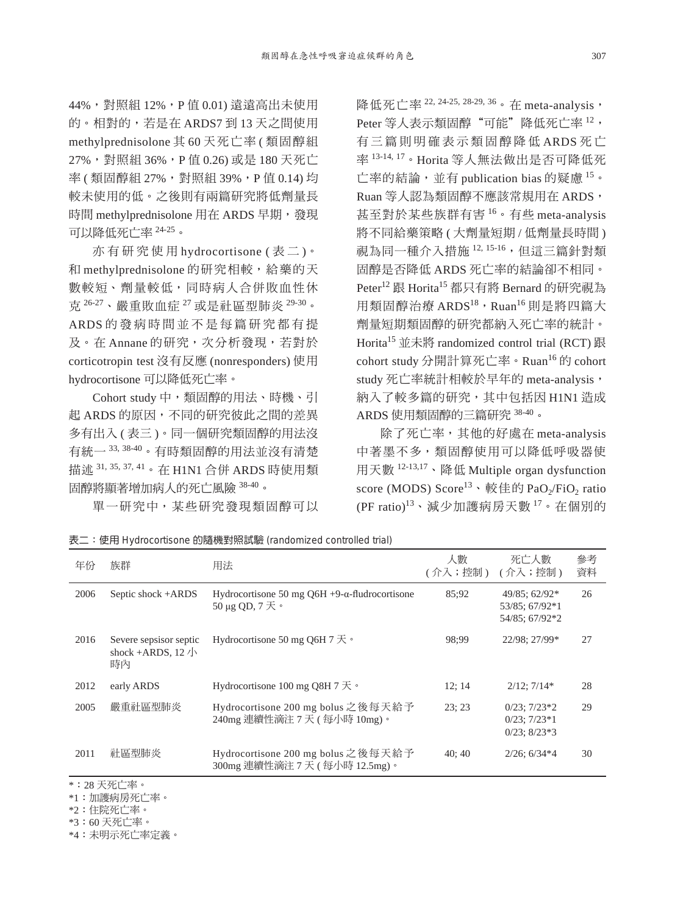44%,對照組 12%,P 值 0.01) 遠遠高出未使用 的。相對的,若是在 ARDS7 到 13 天之間使用 methylprednisolone 其 60 天死亡率 ( 類固醇組 27%,對照組 36%,P 值 0.26) 或是 180 天死亡 率 (類固醇組 27%,對照組 39%,P 值 0.14) 均 較未使用的低。之後則有兩篇研究將低劑量長 時間 methylprednisolone 用在 ARDS 早期,發現 可以降低死亡率 24-25。

亦 有 研 究 使 用 hydrocortisone ( 表 二 )。 和 methylprednisolone 的研究相較,給藥的天 數較短、劑量較低,同時病人合併敗血性休 克 26-27、嚴重敗血症 <sup>27</sup> 或是社區型肺炎 29-30。 ARDS 的 發 病 時 間 並 不 是 每 篇 研 究 都 有 提 及。在 Annane 的研究,次分析發現,若對於 corticotropin test 沒有反應 (nonresponders) 使用 hydrocortisone 可以降低死亡率。

Cohort study 中,類固醇的用法、時機、引 起 ARDS 的原因,不同的研究彼此之間的差異 多有出入 ( 表三 )。同一個研究類固醇的用法沒 有統一 33, 38-40。有時類固醇的用法並沒有清楚 描述 31, 35, 37, 41。在 H1N1 合併 ARDS 時使用類 固醇將顯著增加病人的死亡風險 38-40。

單一研究中,某些研究發現類固醇可以

降低死亡率<sup>22, 24-25, 28-29, 36</sup>。在 meta-analysis, Peter 等人表示類固醇"可能"降低死亡率 12, 有 三 篇 則 明 確 表 示 類 固 醇 降 低 ARDS 死 亡 率 13-14, 17。Horita 等人無法做出是否可降低死 亡率的結論,並有 publication bias 的疑慮 <sup>15</sup>。 Ruan 等人認為類固醇不應該常規用在 ARDS, 甚至對於某些族群有害 <sup>16</sup>。有些 meta-analysis 將不同給藥策略 (大劑量短期 / 低劑量長時間) 視為同一種介入措施 12, 15-16,但這三篇針對類 固醇是否降低 ARDS 死亡率的結論卻不相同。 Peter<sup>12</sup> 跟 Horita<sup>15</sup> 都只有將 Bernard 的研究視為 用類固醇治療 ARDS $^{18}$ , Ruan $^{16}$ 則是將四篇大 劑量短期類固醇的研究都納入死亡率的統計。 Horita15 並未將 randomized control trial (RCT) 跟 cohort study 分開計算死亡率。Ruan<sup>16</sup> 的 cohort study 死亡率統計相較於早年的 meta-analysis, 納入了較多篇的研究,其中包括因 H1N1 造成 ARDS 使用類固醇的三篇研究 38-40。

除了死亡率,其他的好處在 meta-analysis 中著墨不多,類固醇使用可以降低呼吸器使 用天數 12-13,17、降低 Multiple organ dysfunction score (MODS)  $Score^{13} \cdot$ 較佳的 PaO<sub>2</sub>/FiO<sub>2</sub> ratio  $(PF \ ratio)^{13}$ 、減少加護病房天數 $17 \circ \pi$ 個別的

表二:使用 Hydrocortisone 的隨機對照試驗 (randomized controlled trial)

| 年份        | 族群                                                         | 用法                                                                      | 人數<br>(介入;控制) | 死亡人數<br>(介入;控制)                                             | 參考<br>資料 |  |
|-----------|------------------------------------------------------------|-------------------------------------------------------------------------|---------------|-------------------------------------------------------------|----------|--|
| 2006      | Septic shock +ARDS                                         | Hydrocortisone 50 mg Q6H $+9-\alpha$ -fludrocortisone<br>50 μg QD, 7 天。 | 85:92         | 49/85; 62/92*<br>53/85; 67/92*1<br>54/85; 67/92*2           | 26       |  |
| 2016      | Severe sepsisor septic<br>shock +ARDS, $12/\sqrt{2}$<br>時內 | Hydrocortisone 50 mg O6H 7 $\overline{\mathcal{F}}$ .                   | 98:99         | 22/98; 27/99*                                               | 27       |  |
| 2012      | early ARDS                                                 | Hydrocortisone 100 mg Q8H 7 $\overline{\mathcal{F}}$ $\cdot$            | 12:14         | $2/12$ ; $7/14*$                                            | 28       |  |
| 2005      | 嚴重社區型肺炎                                                    | Hydrocortisone 200 mg bolus 之後每天給予<br>240mg 連續性滴注 7天 (每小時 10mg)。        | 23:23         | $0/23$ ; $7/23*2$<br>$0/23$ ; $7/23*1$<br>$0/23$ ; $8/23*3$ | 29       |  |
| 2011      | 社區型肺炎                                                      | Hydrocortisone 200 mg bolus 之後每天給予<br>300mg 連續性滴注 7 天 (每小時 12.5mg)。     | 40:40         | $2/26$ ; $6/34*4$                                           | 30       |  |
| *:28天死亡率。 |                                                            |                                                                         |               |                                                             |          |  |

\*1:加護病房死亡率。

\*2:住院死亡率。

\*3:60 天死亡率。

\*4:未明示死亡率定義。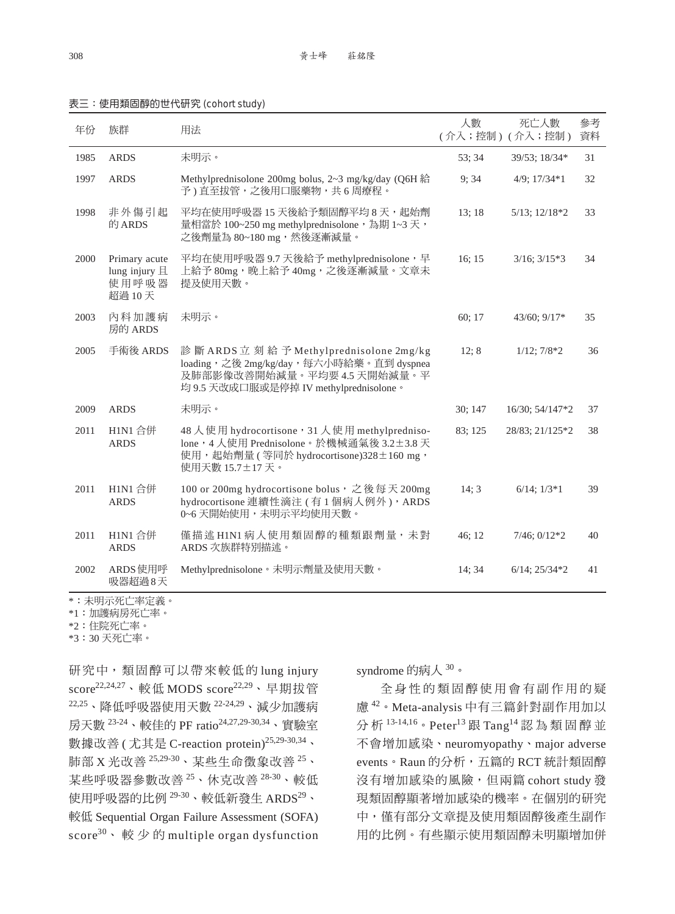| . . | . .<br>- - - | I |
|-----|--------------|---|

#### 表三:使用類固醇的世代研究 (cohort study)

| 年份   | 族群                                                 | 用法                                                                                                                                                         | 人數      | 死亡人數<br>(介入;控制)(介入;控制) | 參考<br>資料 |
|------|----------------------------------------------------|------------------------------------------------------------------------------------------------------------------------------------------------------------|---------|------------------------|----------|
| 1985 | <b>ARDS</b>                                        | 未明示。                                                                                                                                                       | 53; 34  | 39/53; 18/34*          | 31       |
| 1997 | <b>ARDS</b>                                        | Methylprednisolone 200mg bolus, 2~3 mg/kg/day (Q6H 給<br>予)直至拔管,之後用口服藥物,共6周療程。                                                                              | 9;34    | $4/9$ ; $17/34*1$      | 32       |
| 1998 | 非外傷引起<br>的 ARDS                                    | 平均在使用呼吸器 15 天後給予類固醇平均 8 天, 起始劑<br>量相當於 100~250 mg methylprednisolone, 為期 1~3 天,<br>之後劑量為 80~180 mg,然後逐漸減量。                                                 | 13;18   | $5/13$ ; $12/18*2$     | 33       |
| 2000 | Primary acute<br>lung injury $H$<br>使用呼吸器<br>超過10天 | 平均在使用呼吸器 9.7 天後給予 methylprednisolone, 早<br>上給予 80mg, 晚上給予 40mg, 之後逐漸減量。文章未<br>提及使用天數。                                                                      | 16; 15  | $3/16$ ; $3/15*3$      | 34       |
| 2003 | 內科加護病<br>房的 ARDS                                   | 未明示。                                                                                                                                                       | 60; 17  | $43/60$ ; $9/17*$      | 35       |
| 2005 | 手術後 ARDS                                           | 診斷 ARDS 立刻給予 Methylprednisolone 2mg/kg<br>loading, 之後 2mg/kg/day, 每六小時給藥。直到 dyspnea<br>及肺部影像改善開始減量。平均要4.5天開始減量。平<br>均 9.5 天改成口服或是停掉 IV methylprednisolone。 | 12; 8   | $1/12$ ; $7/8*2$       | 36       |
| 2009 | <b>ARDS</b>                                        | 未明示。                                                                                                                                                       | 30; 147 | 16/30; 54/147*2        | 37       |
| 2011 | H1N1 合併<br><b>ARDS</b>                             | 48 人使用 hydrocortisone, 31 人使用 methylpredniso-<br>lone, 4 人使用 Prednisolone。於機械通氣後 3.2±3.8 天<br>使用,起始劑量 (等同於 hydrocortisone)328±160 mg,<br>使用天數 15.7±17天。    | 83; 125 | 28/83; 21/125*2        | 38       |
| 2011 | H1N1 合併<br><b>ARDS</b>                             | 100 or 200mg hydrocortisone bolus, 之後每天200mg<br>hydrocortisone 連續性滴注 (有1個病人例外), ARDS<br>0~6天開始使用,未明示平均使用天數。                                                | 14; 3   | $6/14$ ; $1/3*1$       | 39       |
| 2011 | H1N1 合併<br><b>ARDS</b>                             | 僅描述 H1N1 病人使用類固醇的種類跟劑量, 未對<br>ARDS 次族群特別描述。                                                                                                                | 46:12   | $7/46$ ; $0/12*2$      | 40       |
| 2002 | ARDS 使用呼<br>吸器超過8天                                 | Methylprednisolone。未明示劑量及使用天數。                                                                                                                             | 14:34   | $6/14$ ; $25/34*2$     | 41       |

\*:未明示死亡率定義。

\*1:加護病房死亡率。

\*2:住院死亡率。

\*3:30 天死亡率。

研究中,類固醇可以帶來較低的 lung injury score<sup>22,24,27</sup>、較低 MODS score<sup>22,29</sup>、早期拔管 22,25、降低呼吸器使用天數 22-24,29、減少加護病 房天數 23-24、較佳的 PF ratio24,27,29-30,34、實驗室 數據改善 ( 尤其是 C-reaction protein)<sup>25,29-30,34</sup>、 肺部 X 光改善 25,29-30、某些生命徵象改善 <sup>25</sup>、 某些呼吸器參數改善 <sup>25</sup>、休克改善 28-30、較低 使用呼吸器的比例 $29-30$ 、較低新發生 ARDS $29$ 、 較低 Sequential Organ Failure Assessment (SOFA) score $^{30}$ 、較少的 multiple organ dysfunction syndrome 的病人 <sup>30</sup>。

全 身 性 的 類 固 醇 使 用 會 有 副 作 用 的 疑 慮 <sup>42</sup>。Meta-analysis 中有三篇針對副作用加以 分析<sup>13-14,16</sup>。Peter<sup>13</sup>跟Tang<sup>14</sup>認為類固醇並 不會增加感染、neuromyopathy、major adverse events。Raun 的分析,五篇的 RCT 統計類固醇 沒有增加感染的風險,但兩篇 cohort study 發 現類固醇顯著增加感染的機率。在個別的研究 中,僅有部分文章提及使用類固醇後產生副作 用的比例。有些顯示使用類固醇未明顯增加併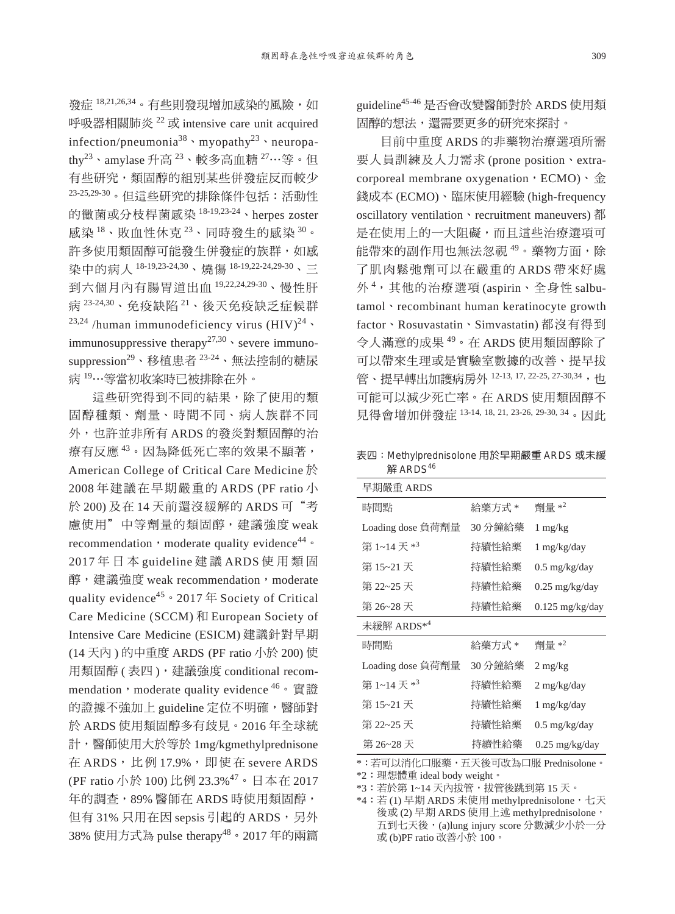發症 18,21,26,34。有些則發現增加感染的風險,如 呼吸器相關肺炎 <sup>22</sup> 或 intensive care unit acquired infection/pneumonia<sup>38</sup>, myopathy<sup>23</sup>, neuropathy23、amylase 升高 <sup>23</sup>、較多高血糖 <sup>27</sup>⋯等。但 有些研究,類固醇的組別某些併發症反而較少 23-25,29-30。但這些研究的排除條件包括:活動性 的黴菌或分枝桿菌感染 18-19,23-24、herpes zoster 感染 <sup>18</sup>、敗血性休克 <sup>23</sup>、同時發生的感染 <sup>30</sup>。 許多使用類固醇可能發生併發症的族群,如感 染中的病人 18-19,23-24,30、燒傷 18-19,22-24,29-30、三 到六個月內有腸胃道出血 19,22,24,29-30、慢性肝 病 23-24,30、免疫缺陷 <sup>21</sup>、後天免疫缺乏症候群 <sup>23,24</sup> /human immunodeficiency virus  $(HIV)^{24}$ immunosuppressive therapy<sup>27,30</sup> severe immunosuppression<sup>29、</sup>移植患者<sup>23-24</sup>、無法控制的糖尿 病 <sup>19</sup>⋯等當初收案時已被排除在外。

這些研究得到不同的結果,除了使用的類 固醇種類、劑量、時間不同、病人族群不同 外,也許並非所有 ARDS 的發炎對類固醇的治 療有反應<sup>43</sup>。因為降低死亡率的效果不顯著, American College of Critical Care Medicine 於 2008 年建議在早期嚴重的 ARDS (PF ratio 小 於 200) 及在 14 天前還沒緩解的 ARDS 可"考 慮使用"中等劑量的類固醇,建議強度 weak recommendation, moderate quality evidence<sup>44</sup> ° 2017 年 日 本 guideline 建 議 ARDS 使 用 類 固 醇,建議強度 weak recommendation, moderate quality evidence<sup>45</sup>  $\cdot$  2017  $\#$  Society of Critical Care Medicine (SCCM) 和 European Society of Intensive Care Medicine (ESICM) 建議針對早期 (14 天內 ) 的中重度 ARDS (PF ratio 小於 200) 使 用類固醇 (表四), 建議強度 conditional recommendation, moderate quality evidence  $46 \cdot \overline{\mathbf{g}}$ 證 的證據不強加上 guideline 定位不明確,醫師對 於 ARDS 使用類固醇多有歧見。2016 年全球統 計,醫師使用大於等於 1mg/kgmethylprednisone 在 ARDS, 比 例 17.9%, 即 使 在 severe ARDS (PF ratio 小於 100) 比例 23.3%<sup>47</sup>。日本在 2017 年的調查,89% 醫師在 ARDS 時使用類固醇, 但有 31% 只用在因 sepsis 引起的 ARDS,另外 38% 使用方式為 pulse therapy<sup>48</sup>。2017 年的兩篇 guideline45-46 是否會改變醫師對於 ARDS 使用類 固醇的想法,還需要更多的研究來探討。

目前中重度 ARDS 的非藥物治療選項所需 要人員訓練及人力需求 (prone position、extracorporeal membrane oxygenation,  $ECMO$ ),  $\triangleq$ 錢成本 (ECMO)、臨床使用經驗 (high-frequency oscillatory ventilation、recruitment maneuvers) 都 是在使用上的一大阻礙,而且這些治療選項可 能帶來的副作用也無法忽視<sup>49</sup>。藥物方面,除 了肌肉鬆弛劑可以在嚴重的 ARDS 帶來好處 外 <sup>4</sup> ,其他的治療選項 (aspirin、全身性 salbutamol · recombinant human keratinocyte growth factor、Rosuvastatin、Simvastatin) 都沒有得到 令人滿意的成果 <sup>49</sup>。在 ARDS 使用類固醇除了 可以帶來生理或是實驗室數據的改善、提早拔 管、提早轉出加護病房外 12-13, 17, 22-25, 27-30,34, 也 可能可以減少死亡率。在 ARDS 使用類固醇不 見得會增加併發症 13-14, 18, 21, 23-26, 29-30, 34。因此

表四:Methylprednisolone 用於早期嚴重 ARDS 或未緩 解 ARDS<sup>46</sup>

| 早期嚴重 ARDS              |         |                          |  |  |  |
|------------------------|---------|--------------------------|--|--|--|
| 時間點                    | 給藥方式 *  | 劑量 $*^2$                 |  |  |  |
| Loading dose 負荷劑量      | 30 分鐘給藥 | $1 \text{ mg/kg}$        |  |  |  |
| 第 1~14 天 $*^3$         | 持續性給藥   | $1 \text{ mg/kg/day}$    |  |  |  |
| 第15~21 天               | 持續性給藥   | $0.5 \text{ mg/kg/day}$  |  |  |  |
| 第 22~25 天              | 持續性給藥   | $0.25 \text{ mg/kg/day}$ |  |  |  |
| 第 26~28 天              | 持續性給藥   | $0.125$ mg/kg/day        |  |  |  |
| 未緩解 ARDS* <sup>4</sup> |         |                          |  |  |  |
| 時間點                    | 給藥方式 *  | 劑量 $*^2$                 |  |  |  |
| Loading dose 負荷劑量      | 30 分鐘給藥 | $2 \text{ mg/kg}$        |  |  |  |
| 第 1~14 天 $*^3$         | 持續性給藥   | $2 \text{ mg/kg/day}$    |  |  |  |
| 第 15~21 天              | 持續性給藥   | $1 \text{ mg/kg/day}$    |  |  |  |
| 第 22~25 天              | 持續性給藥   | $0.5 \text{ mg/kg/day}$  |  |  |  |
| 第 26~28 天              | 持續性給藥   | $0.25 \text{ mg/kg/day}$ |  |  |  |

\*:若可以消化口服藥,五天後可改為口服 Prednisolone。

\*2:理想體重 ideal body weight。

\*3: 若於第 1~14 天內拔管,拔管後跳到第 15 天。

\*4: 若(1) 早期 ARDS 未使用 methylprednisolone, 七天 後或 (2) 早期 ARDS 使用上述 methylprednisolone, 五到七天後,(a)lung injury score 分數減少小於一分 或 (b)PF ratio 改善小於 100。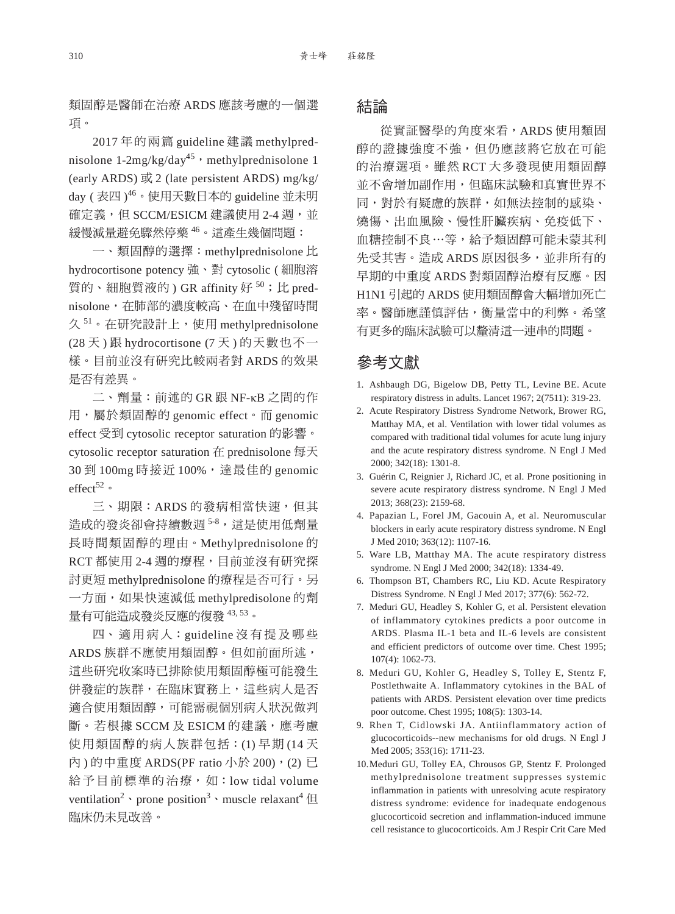類固醇是醫師在治療 ARDS 應該考慮的一個選 項。

2017 年的兩篇 guideline 建議 methylprednisolone  $1-2mg/kg/day^{45}$ , methylprednisolone 1 (early ARDS) 或 2 (late persistent ARDS) mg/kg/ day ( 表四 ) <sup>46</sup>。使用天數日本的 guideline 並未明 確定義,但 SCCM/ESICM 建議使用 2-4 週,並 緩慢減量避免驟然停藥 <sup>46</sup>。這產生幾個問題:

一、類固醇的選擇:methylprednisolone 比 hydrocortisone potency 強、對 cytosolic ( 細胞溶 質的、細胞質液的) GR affinity 好<sup>50</sup>;比 prednisolone,在肺部的濃度較高、在血中殘留時間 久<sup>51</sup>。在研究設計上,使用 methylprednisolone (28 天 ) 跟 hydrocortisone (7 天 ) 的天數也不一 樣。目前並沒有研究比較兩者對 ARDS 的效果 是否有差異。

二、劑量:前述的 GR 跟 NF-κB 之間的作 用,屬於類固醇的 genomic effect。而 genomic effect 受到 cytosolic receptor saturation 的影響。 cytosolic receptor saturation 在 prednisolone 每天 30 到 100mg 時接近 100%, 達最佳的 genomic effect $52$ 。

三、期限: ARDS 的發病相當快速, 但其 造成的發炎卻會持續數週58,這是使用低劑量 長時間類固醇的理由。Methylprednisolone 的 RCT 都使用 2-4 週的療程, 目前並沒有研究探 討更短 methylprednisolone 的療程是否可行。另 一方面,如果快速減低 methylpredisolone 的劑 量有可能造成發炎反應的復發 43, 53。

四、 適 用 病 人:guideline 沒 有 提 及 哪 些 ARDS 族群不應使用類固醇。但如前面所述, 這些研究收案時已排除使用類固醇極可能發生 併發症的族群,在臨床實務上,這些病人是否 適合使用類固醇,可能需視個別病人狀況做判 斷。若根據 SCCM 及 ESICM 的建議,應考慮 使用類固醇的病人族群包括:(1) 早期 (14 天 內)的中重度 ARDS(PF ratio 小於 200), (2) 已 給予目前標準的治療,如:low tidal volume ventilation<sup>2</sup> · prone position<sup>3</sup> · muscle relaxant<sup>4</sup>  $\boxplus$ 臨床仍未見改善。

## 結論

從實証醫學的角度來看,ARDS 使用類固 醇的證據強度不強,但仍應該將它放在可能 的治療選項。雖然 RCT 大多發現使用類固醇 並不會增加副作用,但臨床試驗和真實世界不 同,對於有疑慮的族群,如無法控制的感染、 燒傷、出血風險、慢性肝臟疾病、免疫低下、 血糖控制不良⋯等,給予類固醇可能未蒙其利 先受其害。造成 ARDS 原因很多,並非所有的 早期的中重度 ARDS 對類固醇治療有反應。因 H1N1 引起的 ARDS 使用類固醇會大幅增加死亡 率。醫師應謹慎評估,衡量當中的利弊。希望 有更多的臨床試驗可以釐清這一連串的問題。

## 參考文獻

- 1. Ashbaugh DG, Bigelow DB, Petty TL, Levine BE. Acute respiratory distress in adults. Lancet 1967; 2(7511): 319-23.
- 2. Acute Respiratory Distress Syndrome Network, Brower RG, Matthay MA, et al. Ventilation with lower tidal volumes as compared with traditional tidal volumes for acute lung injury and the acute respiratory distress syndrome. N Engl J Med 2000; 342(18): 1301-8.
- 3. Guérin C, Reignier J, Richard JC, et al. Prone positioning in severe acute respiratory distress syndrome. N Engl J Med 2013; 368(23): 2159-68.
- 4. Papazian L, Forel JM, Gacouin A, et al. Neuromuscular blockers in early acute respiratory distress syndrome. N Engl J Med 2010; 363(12): 1107-16.
- 5. Ware LB, Matthay MA. The acute respiratory distress syndrome. N Engl J Med 2000; 342(18): 1334-49.
- 6. Thompson BT, Chambers RC, Liu KD. Acute Respiratory Distress Syndrome. N Engl J Med 2017; 377(6): 562-72.
- 7. Meduri GU, Headley S, Kohler G, et al. Persistent elevation of inflammatory cytokines predicts a poor outcome in ARDS. Plasma IL-1 beta and IL-6 levels are consistent and efficient predictors of outcome over time. Chest 1995; 107(4): 1062-73.
- 8. Meduri GU, Kohler G, Headley S, Tolley E, Stentz F, Postlethwaite A. Inflammatory cytokines in the BAL of patients with ARDS. Persistent elevation over time predicts poor outcome. Chest 1995; 108(5): 1303-14.
- 9. Rhen T, Cidlowski JA. Antiinflammatory action of glucocorticoids--new mechanisms for old drugs. N Engl J Med 2005; 353(16): 1711-23.
- 10. Meduri GU, Tolley EA, Chrousos GP, Stentz F. Prolonged methylprednisolone treatment suppresses systemic inflammation in patients with unresolving acute respiratory distress syndrome: evidence for inadequate endogenous glucocorticoid secretion and inflammation-induced immune cell resistance to glucocorticoids. Am J Respir Crit Care Med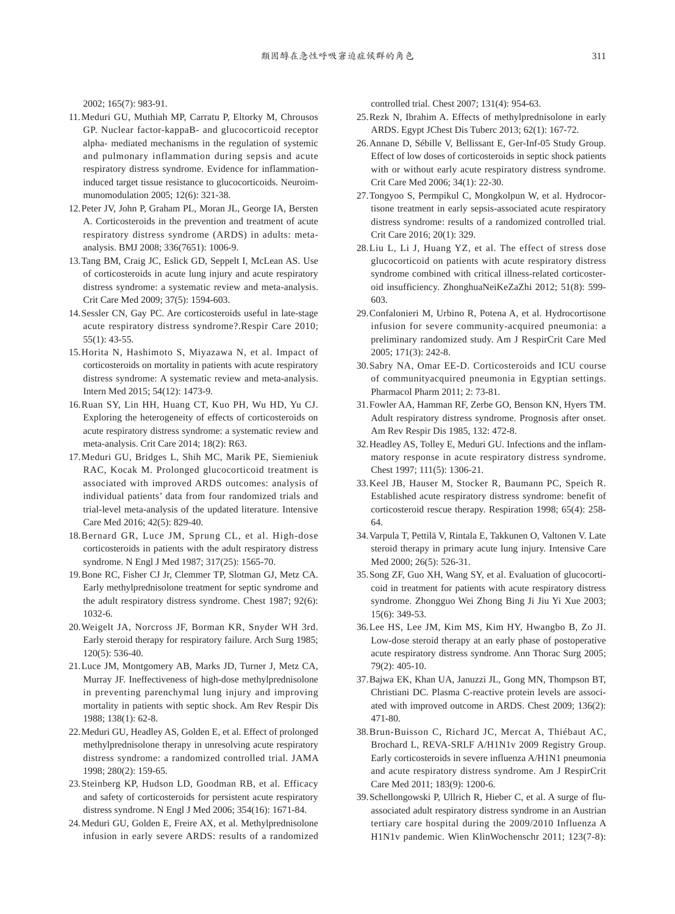2002; 165(7): 983-91.

- 11.Meduri GU, Muthiah MP, Carratu P, Eltorky M, Chrousos GP. Nuclear factor-kappaB- and glucocorticoid receptor alpha- mediated mechanisms in the regulation of systemic and pulmonary inflammation during sepsis and acute respiratory distress syndrome. Evidence for inflammationinduced target tissue resistance to glucocorticoids. Neuroimmunomodulation 2005; 12(6): 321-38.
- 12. Peter JV, John P, Graham PL, Moran JL, George IA, Bersten A. Corticosteroids in the prevention and treatment of acute respiratory distress syndrome (ARDS) in adults: metaanalysis. BMJ 2008; 336(7651): 1006-9.
- 13. Tang BM, Craig JC, Eslick GD, Seppelt I, McLean AS. Use of corticosteroids in acute lung injury and acute respiratory distress syndrome: a systematic review and meta-analysis. Crit Care Med 2009; 37(5): 1594-603.
- 14. Sessler CN, Gay PC. Are corticosteroids useful in late-stage acute respiratory distress syndrome?.Respir Care 2010; 55(1): 43-55.
- 15. Horita N, Hashimoto S, Miyazawa N, et al. Impact of corticosteroids on mortality in patients with acute respiratory distress syndrome: A systematic review and meta-analysis. Intern Med 2015; 54(12): 1473-9.
- 16. Ruan SY, Lin HH, Huang CT, Kuo PH, Wu HD, Yu CJ. Exploring the heterogeneity of effects of corticosteroids on acute respiratory distress syndrome: a systematic review and meta-analysis. Crit Care 2014; 18(2): R63.
- 17. Meduri GU, Bridges L, Shih MC, Marik PE, Siemieniuk RAC, Kocak M. Prolonged glucocorticoid treatment is associated with improved ARDS outcomes: analysis of individual patients' data from four randomized trials and trial-level meta-analysis of the updated literature. Intensive Care Med 2016; 42(5): 829-40.
- 18. Bernard GR, Luce JM, Sprung CL, et al. High-dose corticosteroids in patients with the adult respiratory distress syndrome. N Engl J Med 1987; 317(25): 1565-70.
- 19. Bone RC, Fisher CJ Jr, Clemmer TP, Slotman GJ, Metz CA. Early methylprednisolone treatment for septic syndrome and the adult respiratory distress syndrome. Chest 1987; 92(6): 1032-6.
- 20. Weigelt JA, Norcross JF, Borman KR, Snyder WH 3rd. Early steroid therapy for respiratory failure. Arch Surg 1985; 120(5): 536-40.
- 21. Luce JM, Montgomery AB, Marks JD, Turner J, Metz CA, Murray JF. Ineffectiveness of high-dose methylprednisolone in preventing parenchymal lung injury and improving mortality in patients with septic shock. Am Rev Respir Dis 1988; 138(1): 62-8.
- 22. Meduri GU, Headley AS, Golden E, et al. Effect of prolonged methylprednisolone therapy in unresolving acute respiratory distress syndrome: a randomized controlled trial. JAMA 1998; 280(2): 159-65.
- 23. Steinberg KP, Hudson LD, Goodman RB, et al. Efficacy and safety of corticosteroids for persistent acute respiratory distress syndrome. N Engl J Med 2006; 354(16): 1671-84.
- 24. Meduri GU, Golden E, Freire AX, et al. Methylprednisolone infusion in early severe ARDS: results of a randomized

controlled trial. Chest 2007; 131(4): 954-63.

- 25. Rezk N, Ibrahim A. Effects of methylprednisolone in early ARDS. Egypt JChest Dis Tuberc 2013; 62(1): 167-72.
- 26. Annane D, Sébille V, Bellissant E, Ger-Inf-05 Study Group. Effect of low doses of corticosteroids in septic shock patients with or without early acute respiratory distress syndrome. Crit Care Med 2006; 34(1): 22-30.
- 27. Tongyoo S, Permpikul C, Mongkolpun W, et al. Hydrocortisone treatment in early sepsis-associated acute respiratory distress syndrome: results of a randomized controlled trial. Crit Care 2016; 20(1): 329.
- 28. Liu L, Li J, Huang YZ, et al. The effect of stress dose glucocorticoid on patients with acute respiratory distress syndrome combined with critical illness-related corticosteroid insufficiency. ZhonghuaNeiKeZaZhi 2012; 51(8): 599- 603.
- 29. Confalonieri M, Urbino R, Potena A, et al. Hydrocortisone infusion for severe community-acquired pneumonia: a preliminary randomized study. Am J RespirCrit Care Med 2005; 171(3): 242-8.
- 30. Sabry NA, Omar EE-D. Corticosteroids and ICU course of communityacquired pneumonia in Egyptian settings. Pharmacol Pharm 2011; 2: 73-81.
- 31. Fowler AA, Hamman RF, Zerbe GO, Benson KN, Hyers TM. Adult respiratory distress syndrome. Prognosis after onset. Am Rev Respir Dis 1985, 132: 472-8.
- 32. Headley AS, Tolley E, Meduri GU. Infections and the inflammatory response in acute respiratory distress syndrome. Chest 1997; 111(5): 1306-21.
- 33. Keel JB, Hauser M, Stocker R, Baumann PC, Speich R. Established acute respiratory distress syndrome: benefit of corticosteroid rescue therapy. Respiration 1998; 65(4): 258- 64.
- 34. Varpula T, Pettilä V, Rintala E, Takkunen O, Valtonen V. Late steroid therapy in primary acute lung injury. Intensive Care Med 2000; 26(5): 526-31.
- 35. Song ZF, Guo XH, Wang SY, et al. Evaluation of glucocorticoid in treatment for patients with acute respiratory distress syndrome. Zhongguo Wei Zhong Bing Ji Jiu Yi Xue 2003; 15(6): 349-53.
- 36. Lee HS, Lee JM, Kim MS, Kim HY, Hwangbo B, Zo JI. Low-dose steroid therapy at an early phase of postoperative acute respiratory distress syndrome. Ann Thorac Surg 2005; 79(2): 405-10.
- 37. Bajwa EK, Khan UA, Januzzi JL, Gong MN, Thompson BT, Christiani DC. Plasma C-reactive protein levels are associated with improved outcome in ARDS. Chest 2009; 136(2): 471-80.
- 38. Brun-Buisson C, Richard JC, Mercat A, Thiébaut AC, Brochard L, REVA-SRLF A/H1N1v 2009 Registry Group. Early corticosteroids in severe influenza A/H1N1 pneumonia and acute respiratory distress syndrome. Am J RespirCrit Care Med 2011; 183(9): 1200-6.
- 39. Schellongowski P, Ullrich R, Hieber C, et al. A surge of fluassociated adult respiratory distress syndrome in an Austrian tertiary care hospital during the 2009/2010 Influenza A H1N1v pandemic. Wien KlinWochenschr 2011; 123(7-8):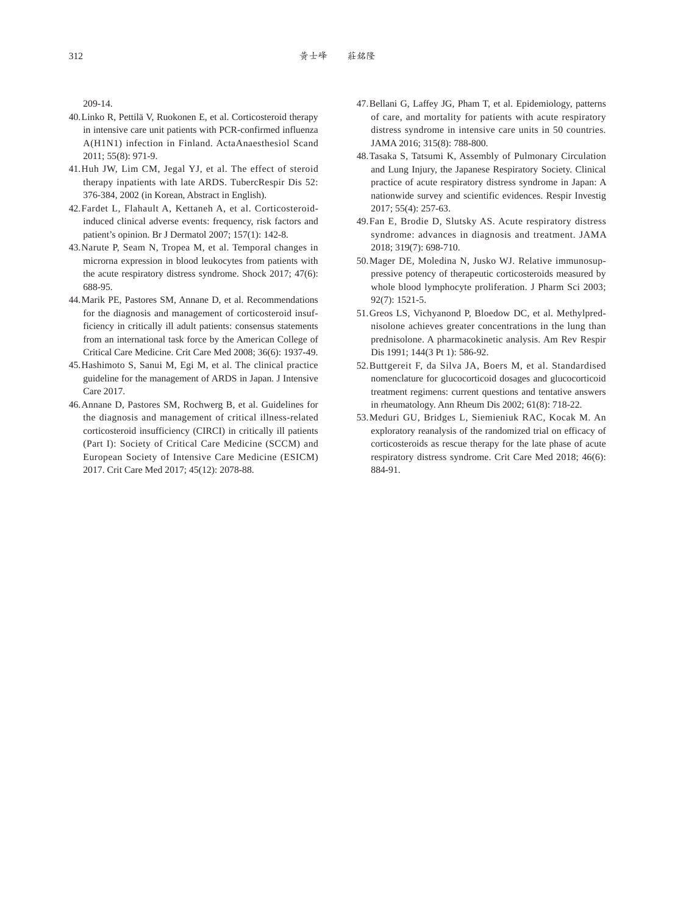209-14.

- 40. Linko R, Pettilä V, Ruokonen E, et al. Corticosteroid therapy in intensive care unit patients with PCR-confirmed influenza A(H1N1) infection in Finland. ActaAnaesthesiol Scand 2011; 55(8): 971-9.
- 41. Huh JW, Lim CM, Jegal YJ, et al. The effect of steroid therapy inpatients with late ARDS. TubercRespir Dis 52: 376-384, 2002 (in Korean, Abstract in English).
- 42. Fardet L, Flahault A, Kettaneh A, et al. Corticosteroidinduced clinical adverse events: frequency, risk factors and patient's opinion. Br J Dermatol 2007; 157(1): 142-8.
- 43. Narute P, Seam N, Tropea M, et al. Temporal changes in microrna expression in blood leukocytes from patients with the acute respiratory distress syndrome. Shock 2017; 47(6): 688-95.
- 44. Marik PE, Pastores SM, Annane D, et al. Recommendations for the diagnosis and management of corticosteroid insufficiency in critically ill adult patients: consensus statements from an international task force by the American College of Critical Care Medicine. Crit Care Med 2008; 36(6): 1937-49.
- 45. Hashimoto S, Sanui M, Egi M, et al. The clinical practice guideline for the management of ARDS in Japan. J Intensive Care 2017.
- 46. Annane D, Pastores SM, Rochwerg B, et al. Guidelines for the diagnosis and management of critical illness-related corticosteroid insufficiency (CIRCI) in critically ill patients (Part I): Society of Critical Care Medicine (SCCM) and European Society of Intensive Care Medicine (ESICM) 2017. Crit Care Med 2017; 45(12): 2078-88.
- 47. Bellani G, Laffey JG, Pham T, et al. Epidemiology, patterns of care, and mortality for patients with acute respiratory distress syndrome in intensive care units in 50 countries. JAMA 2016; 315(8): 788-800.
- 48. Tasaka S, Tatsumi K, Assembly of Pulmonary Circulation and Lung Injury, the Japanese Respiratory Society. Clinical practice of acute respiratory distress syndrome in Japan: A nationwide survey and scientific evidences. Respir Investig 2017; 55(4): 257-63.
- 49. Fan E, Brodie D, Slutsky AS. Acute respiratory distress syndrome: advances in diagnosis and treatment. JAMA 2018; 319(7): 698-710.
- 50. Mager DE, Moledina N, Jusko WJ. Relative immunosuppressive potency of therapeutic corticosteroids measured by whole blood lymphocyte proliferation. J Pharm Sci 2003; 92(7): 1521-5.
- 51. Greos LS, Vichyanond P, Bloedow DC, et al. Methylprednisolone achieves greater concentrations in the lung than prednisolone. A pharmacokinetic analysis. Am Rev Respir Dis 1991; 144(3 Pt 1): 586-92.
- 52. Buttgereit F, da Silva JA, Boers M, et al. Standardised nomenclature for glucocorticoid dosages and glucocorticoid treatment regimens: current questions and tentative answers in rheumatology. Ann Rheum Dis 2002; 61(8): 718-22.
- 53. Meduri GU, Bridges L, Siemieniuk RAC, Kocak M. An exploratory reanalysis of the randomized trial on efficacy of corticosteroids as rescue therapy for the late phase of acute respiratory distress syndrome. Crit Care Med 2018; 46(6): 884-91.